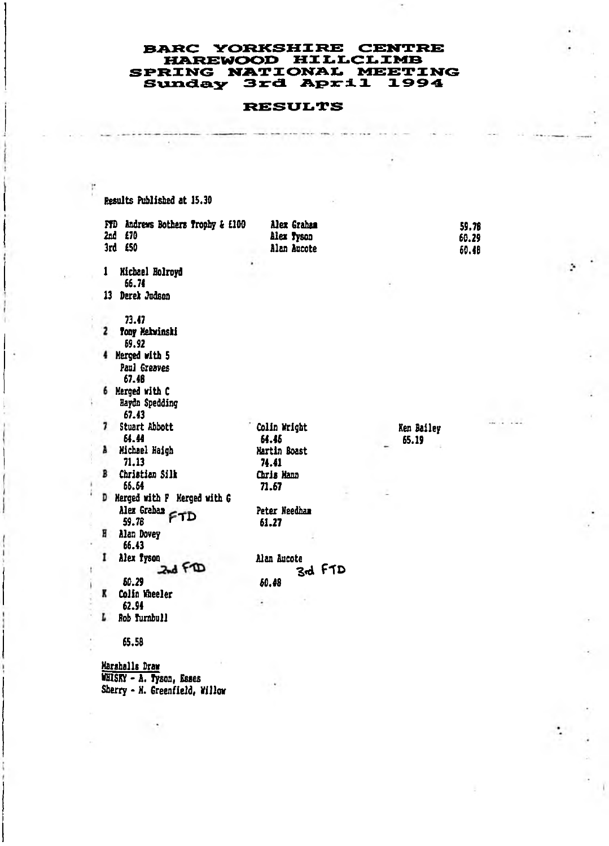## **BARC YORKSHIRE CENTRE HAREWOOD HILLCLIMB SPRING NATIONAL MEETING** Sunday 3rd April 1994

## **RESULTS**

Results Publisbed at 15.30 FTD Andrews Bothers Trophy & £100 2nd £70 3rd £50 1 Michael Bolroyd 66.74 13 Derek Jadson Alex Grahai Alex Tyson Alan Aucote 59.78 60.29 60.48 73.47 2 Tooy Mekwinski 69.92 4 Merged with 5 Paul Greaves 67.48 6 Merged with C Hafda Spedding 67.43 Stuart Abbott 64.44 A Michael Haigh 71.13 Christian Silk 66.64 D Merged with P Merged with G Alex Graha**a FTI**<br>59.78 **H** Alan Dovey 66.43 I Alex Iyson<br>2nd FD 60.29 Colio Hheeler 62.94 L Rob Turnbull Colin Nrigbt 64.46 Martin Boast 74.41 Chris Mana 71.67 Peter Needham 61.27 Alan Aacote *Zfd* f T D 60.48 Ken Bailey 65.19 65.58

Marshalls Draw VBISnr - A. Tyson, Esses Sherry - N. Greenfield, Willow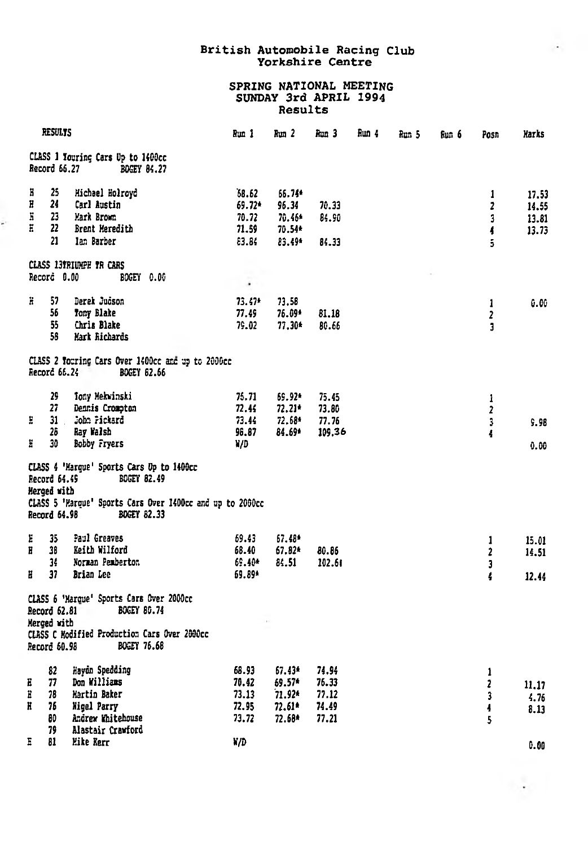## British Automobile Racing Club<br>Yorkshire Centre

÷.

 $\mathcal{A}$  .

## SPRING NATIONAL MEETING<br>SUNDAY 3rd APRIL 1994 Results

| <b>RESULTS</b>   |                                             | Run 1                                                                                                                                       | Run <sub>2</sub>                           | Run 3                                            | Run 4                                     | Run 5 | նա 6 | Posn | Harks                            |                                  |
|------------------|---------------------------------------------|---------------------------------------------------------------------------------------------------------------------------------------------|--------------------------------------------|--------------------------------------------------|-------------------------------------------|-------|------|------|----------------------------------|----------------------------------|
|                  | Record 66.27                                | CLASS 1 Youring Cars Up to 1400cc<br><b>BOGEY 84.27</b>                                                                                     |                                            |                                                  |                                           |       |      |      |                                  |                                  |
| Б<br>Ë<br>Ë<br>Ħ | 25<br>24<br>23<br>22<br>21                  | Michael Holrovd<br>Carl Austin<br>Mark Brown<br>Brent Meredith<br>Jan Barber                                                                | 68.62<br>69.72*<br>70.72<br>71.59<br>83.84 | 66.74*<br>96.34<br>70.46*<br>70.54*<br>83.49*    | 70.33<br>84.90<br>84.33                   |       |      |      | 1<br>$\mathbf{z}$<br>3<br>4<br>5 | 17.53<br>14.55<br>13.81<br>13.73 |
|                  | Record 0.00                                 | <b>CLASS 13TRIUMPH TR CARS</b><br>BOGEY 0.00                                                                                                | ٠                                          |                                                  |                                           |       |      |      |                                  |                                  |
| ä                | 57<br>56<br>55<br>58                        | Derek Judson<br>Tony Blake<br>Chris Blake<br>Nark Richards                                                                                  | $73.47*$<br>77.49<br>79.02                 | 73.58<br>76.09*<br>77.30*                        | 81.16<br>80.66                            |       |      |      | $\mathbf{1}$<br>2<br>3           | 6.06                             |
|                  | Record 66.24                                | CLASS 2 Touring Cars Over 1400cc and up to 2000cc<br><b>BOGEY 62.66</b>                                                                     |                                            |                                                  |                                           |       |      |      |                                  |                                  |
| E<br>ã           | 29<br>27<br>31<br>28<br>30                  | Tony Mekwinski<br>Dennis Crompton<br>John Pickard<br>Ray Walsh<br>Bobby Fryers                                                              | 75.71<br>72.44<br>73.44<br>96.87<br>¥/D    | 69.92*<br>$72.21*$<br>72.68*<br>84.69*           | 75.45<br>73.80<br>77.76<br>109.36         |       |      |      | 1<br>$\overline{2}$<br>3<br>4    | 9.98<br>0.00                     |
|                  | Record 64.49<br>Herged with<br>Record 64.98 | CLASS 4 'Harque' Sports Cars Up to 1400cc<br>BOGEY 82.49<br>CLASS 5 'Marque' Sports Cars Over 1400cc and up to 2000cc<br><b>BOGEY 82.33</b> |                                            |                                                  |                                           |       |      |      |                                  |                                  |
| E<br>Ħ<br>Ħ      | 35<br>38<br>34<br>37                        | Paul Greaves<br>Keith Wilford<br>Norman Pemberton<br>Brian Lee                                                                              | 69.43<br>68.40<br>69.40*<br>69.89*         | 67.48*<br>$67.82*$<br>84.51                      | 80.86<br>102.61                           |       |      |      | 1<br>2<br>3<br>4                 | 15.01<br>14.51<br>12.44          |
|                  | Record 62.81<br>Merged with<br>Record 60.98 | CLASS 6 'Marque' Sports Cars Over 2000cc<br><b>BOCEY 80.74</b><br>CLASS C Modified Production Cars Over 2000cc<br><b>BOGEY 76.68</b>        |                                            |                                                  |                                           |       |      |      |                                  |                                  |
| Е<br>E<br>Ħ      | 82<br>77<br>78<br>76<br>80<br>79            | Havdn Spedding<br>Don Williams<br><b>Hartin Baker</b><br><b>Nigel Parry</b><br>Andrew Whitehouse<br>Alastair Crawford                       | 68.93<br>70.42<br>73.13<br>72.95<br>73.72  | 67.43*<br>69.57*<br>$71.92*$<br>72.61*<br>72.68* | 74.94<br>76.33<br>77.12<br>74.49<br>77.21 |       |      |      | 1<br>2<br>3<br>4<br>5            | 11.17<br>4.76<br>8.13            |
| Ε                | 81                                          | Mike Kerr                                                                                                                                   | W/D                                        |                                                  |                                           |       |      |      |                                  | 0.00                             |

è.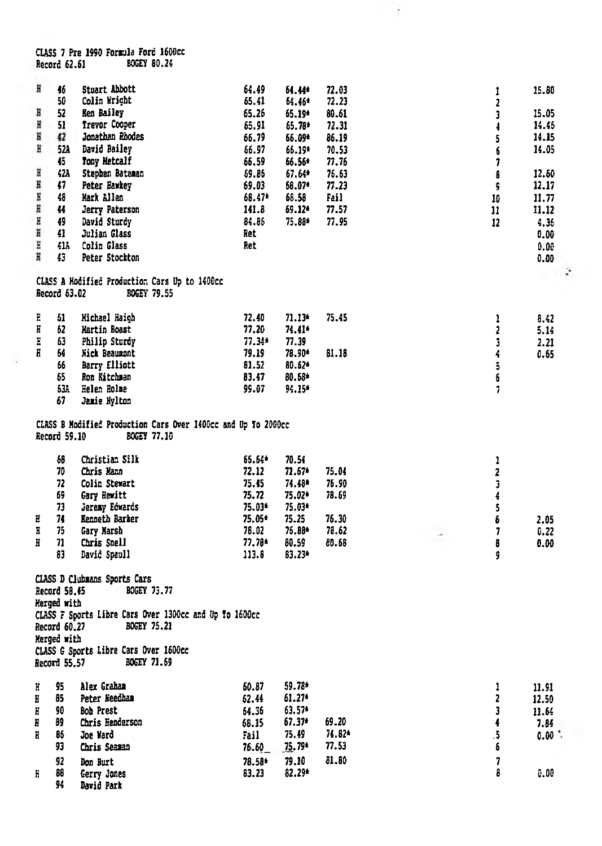CLASS 7 Pre 1990 Formula Ford 1600cc<br>Record 62.61 BOGEY 80.24

J.

| H<br>Ε<br>Ħ<br>Ħ<br>Ε<br>Η<br>Н<br>E<br>E<br>Ħ<br>Ħ<br>Ë<br>Ħ | 46<br>50<br>52<br>51<br>42<br>521<br>45<br>42A<br>47<br>48<br>44<br>49<br>41<br>414<br>43 | Stuart Abbott<br>Colin Wright<br>Ken Bailey<br>Trevor Cooper<br>Jonathan Rhodes<br>David Bailey<br>Tony Metcalf<br>Stephen Bateman<br>Peter Eawkey<br>Mark Allen<br>Jerry Paterson<br>David Sturdy<br>Julian Glass<br>Colin Glass<br>Peter Stockton<br>CLASS A Hodified Production Cars Up to 1400cc | 64.49<br>65.41<br>65.26<br>65.91<br>65.79<br>66.97<br>66.59<br>69.86<br>69.03<br>68.47*<br>141.8<br>84.86<br>Ret<br>Ret | 64.44*<br>54.46*<br>65.19*<br>65.78*<br>66.09*<br>66.19*<br>66.56*<br>67.64*<br>68.07*<br>68.58<br>69.12*<br>75.88* | 72.03<br>72.23<br>80.61<br>72.31<br>86.19<br>70.53<br>77.76<br>76.63<br>77.23<br>Fail<br>77.57<br>77.95 | ı<br>$\overline{\mathbf{c}}$<br>Ĵ<br>4<br>5<br>6<br>7<br>8<br>ç<br>10<br>$\mathbf{11}$<br>12 | 15.80<br>15.05<br>14.46<br>14.15<br>14.05<br>12.60<br>12.17<br>11.77<br>11.12<br>4.35<br>0.00<br>0.00<br>0.00<br>÷ |
|---------------------------------------------------------------|-------------------------------------------------------------------------------------------|------------------------------------------------------------------------------------------------------------------------------------------------------------------------------------------------------------------------------------------------------------------------------------------------------|-------------------------------------------------------------------------------------------------------------------------|---------------------------------------------------------------------------------------------------------------------|---------------------------------------------------------------------------------------------------------|----------------------------------------------------------------------------------------------|--------------------------------------------------------------------------------------------------------------------|
|                                                               | Record 63.02                                                                              | BOGEY 79.55                                                                                                                                                                                                                                                                                          |                                                                                                                         |                                                                                                                     |                                                                                                         |                                                                                              |                                                                                                                    |
| E<br>H<br>Ä<br>H                                              | 61<br>62<br>63<br>64<br>66<br>65<br>638<br>67                                             | Michael Haigh<br>Hartin Boast<br>Philip Sturdy<br>Nick Beaumont<br><b>Barry Elliott</b><br>Ron Kitchman<br>Helen Holme<br>Jamie Hylton                                                                                                                                                               | 72.40<br>77.20<br>77.34*<br>79.19<br>81.52<br>83.47<br>99.07                                                            | $71.13*$<br>74.41*<br>77.39<br>78.90*<br>80.62*<br>80.68*<br>94.15*                                                 | 75.45<br>81.18                                                                                          | 1<br>$\mathbf{2}$<br>3<br>4<br>5<br>6<br>7                                                   | 8.42<br>5.14<br>2.21<br>0.65                                                                                       |
|                                                               | Record 59.10                                                                              | CLASS B Modified Production Cars Over 1400cc and Up To 2000cc<br>BOGEY 77.10                                                                                                                                                                                                                         |                                                                                                                         |                                                                                                                     |                                                                                                         |                                                                                              |                                                                                                                    |
| E<br>Ε<br>Ħ                                                   | 68<br>70<br>72<br>69<br>73<br>74<br>75<br>71<br>83                                        | Christian Silk<br>Chris Mann<br>Colin Stewart<br>Gary Hewitt<br><b>Jeresy Edwards</b><br>Kenneth Barker<br>Gary Marsh<br>Chris Snell<br>David Spaull                                                                                                                                                 | 65.64*<br>72.12<br>75.45<br>75.72<br>75.03*<br>75.05*<br>76.02<br>77.78*<br>113.8                                       | 70.54<br>$71.67*$<br>74.48*<br>75.02*<br>75.03*<br>75.25<br>75.88*<br>80.59<br>83.23*                               | 75.04<br>76.90<br>78.69<br>76.30<br>78.62<br>80.68                                                      | 1<br>2<br>3<br>4<br>5<br>6<br>7<br>8<br>g                                                    | 2.05<br>0.22<br>0.00                                                                                               |
|                                                               | Record 58.45<br>Herged with<br>Record 60.27<br>Merged with<br>Record 55.57                | CLASS D Clubmans Sports Cars<br><b>BOGEY 73.77</b><br>CLASS F Sports Libre Cars Over 1300cc and Up To 1600cc<br>BOGEY 75.21<br>CLASS G Sports Libre Cars Over 1600cc<br><b>BOGEY 71.69</b>                                                                                                           |                                                                                                                         |                                                                                                                     |                                                                                                         |                                                                                              |                                                                                                                    |
| H<br>Ħ<br>Ħ<br>Ħ<br>Ħ                                         | 95<br>85<br>90<br>89<br>86<br>93                                                          | Alex Graham<br>Peter Reedban<br><b>Bob Prest</b><br>Chris Henderson<br>Joe Ward<br>Chris Seaman                                                                                                                                                                                                      | 60.87<br>62.44<br>64.36<br>68.15<br>Fail<br>76.60                                                                       | 59.78*<br>61.27*<br>63.57*<br>$67.37*$<br>75.49<br>75.79*                                                           | 69.20<br>74.82*<br>77.53                                                                                | 1<br>$\overline{c}$<br>3<br>4<br>5<br>6                                                      | 11.91<br>12.50<br>11.64<br>7.84<br>$0.00$ .                                                                        |
| ĥ                                                             | 92<br>86<br>94                                                                            | Don Burt<br>Gerry Jones<br>David Park                                                                                                                                                                                                                                                                | 78.58*<br>63.23                                                                                                         | 79.10<br>82.29*                                                                                                     | 81.80                                                                                                   | $\overline{\mathbf{z}}$<br>8                                                                 | 0.00                                                                                                               |

 $\cdot$